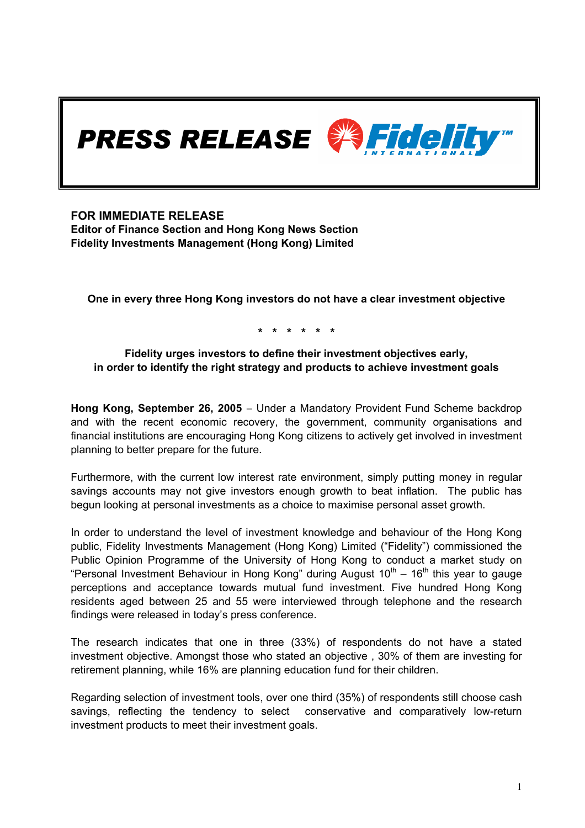

## **FOR IMMEDIATE RELEASE Editor of Finance Section and Hong Kong News Section Fidelity Investments Management (Hong Kong) Limited**

-

**One in every three Hong Kong investors do not have a clear investment objective** 

**\* \* \* \* \* \*** 

**Fidelity urges investors to define their investment objectives early, in order to identify the right strategy and products to achieve investment goals** 

**Hong Kong, September 26, 2005** − Under a Mandatory Provident Fund Scheme backdrop and with the recent economic recovery, the government, community organisations and financial institutions are encouraging Hong Kong citizens to actively get involved in investment planning to better prepare for the future.

Furthermore, with the current low interest rate environment, simply putting money in regular savings accounts may not give investors enough growth to beat inflation. The public has begun looking at personal investments as a choice to maximise personal asset growth.

In order to understand the level of investment knowledge and behaviour of the Hong Kong public, Fidelity Investments Management (Hong Kong) Limited ("Fidelity") commissioned the Public Opinion Programme of the University of Hong Kong to conduct a market study on "Personal Investment Behaviour in Hong Kong" during August  $10<sup>th</sup> - 16<sup>th</sup>$  this year to gauge perceptions and acceptance towards mutual fund investment. Five hundred Hong Kong residents aged between 25 and 55 were interviewed through telephone and the research findings were released in today's press conference.

The research indicates that one in three (33%) of respondents do not have a stated investment objective. Amongst those who stated an objective , 30% of them are investing for retirement planning, while 16% are planning education fund for their children.

Regarding selection of investment tools, over one third (35%) of respondents still choose cash savings, reflecting the tendency to select conservative and comparatively low-return investment products to meet their investment goals.